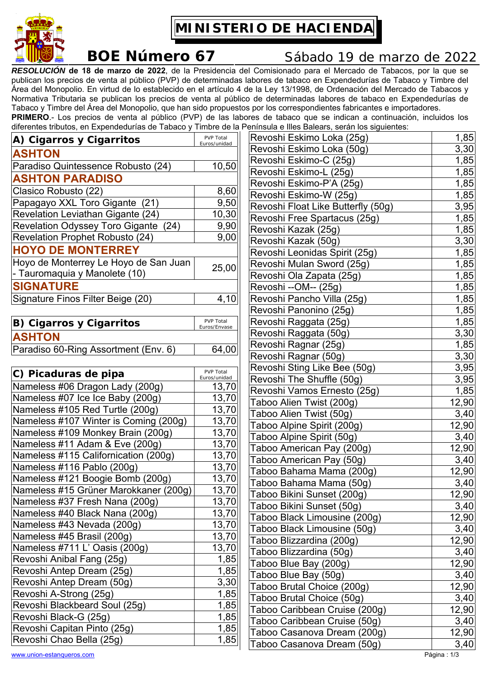

**MINISTERIO DE HACIENDA** 

## **BOE Número 67** Sábado 19 de marzo de 2022

*RESOLUCIÓN* **de 18 de marzo de 2022**, de la Presidencia del Comisionado para el Mercado de Tabacos, por la que se publican los precios de venta al público (PVP) de determinadas labores de tabaco en Expendedurías de Tabaco y Timbre del Área del Monopolio. En virtud de lo establecido en el artículo 4 de la Ley 13/1998, de Ordenación del Mercado de Tabacos y Normativa Tributaria se publican los precios de venta al público de determinadas labores de tabaco en Expendedurías de Tabaco y Timbre del Área del Monopolio, que han sido propuestos por los correspondientes fabricantes e importadores. **PRIMERO**.- Los precios de venta al público (PVP) de las labores de tabaco que se indican a continuación, incluidos los diferentes tributos, en Expendedurías de Tabaco y Timbre de la Península e Illes Balears, serán los siguientes:

| A) Cigarros y Cigarritos               | <b>PVP Total</b><br>Euros/unidad |
|----------------------------------------|----------------------------------|
| <b>ASHTON</b>                          |                                  |
| Paradiso Quintessence Robusto (24)     | 10,50                            |
| <b>ASHTON PARADISO</b>                 |                                  |
| Clasico Robusto (22)                   | 8,60                             |
| Papagayo XXL Toro Gigante (21)         | 9,50                             |
| Revelation Leviathan Gigante (24)      | 10,30                            |
| Revelation Odyssey Toro Gigante (24)   | 9,90                             |
| <b>Revelation Prophet Robusto (24)</b> | 9,00                             |
| <b>HOYO DE MONTERREY</b>               |                                  |
| Hoyo de Monterrey Le Hoyo de San Juan  | 25,00                            |
| - Tauromaquia y Manolete (10)          |                                  |
| <b>SIGNATURE</b>                       |                                  |
| Signature Finos Filter Beige (20)      | 4,10                             |
|                                        |                                  |
| iaarraa u Ciaarritaa                   | <b>PVP Total</b>                 |

| B) Cigarros y Cigarritos             | PVP Total    |
|--------------------------------------|--------------|
|                                      | Euros/Envase |
| <b>ASHTON</b>                        |              |
| Paradiso 60-Ring Assortment (Env. 6) | 64,00        |

| C) Picaduras de pipa                  | PVP Total<br>Euros/unidad |
|---------------------------------------|---------------------------|
| Nameless #06 Dragon Lady (200g)       | 13,70                     |
| Nameless #07 Ice Ice Baby (200g)      | 13,70                     |
| Nameless #105 Red Turtle (200g)       | 13,70                     |
| Nameless #107 Winter is Coming (200g) | 13,70                     |
| Nameless #109 Monkey Brain (200g)     | 13,70                     |
| Nameless #11 Adam & Eve (200g)        | 13,70                     |
| Nameless #115 Californication (200g)  | 13,70                     |
| Nameless #116 Pablo (200g)            | 13,70                     |
| Nameless #121 Boogie Bomb (200g)      | 13,70                     |
| Nameless #15 Grüner Marokkaner (200g) | 13,70                     |
| Nameless #37 Fresh Nana (200g)        | 13,70                     |
| Nameless #40 Black Nana (200g)        | 13,70                     |
| Nameless #43 Nevada (200g)            | 13,70                     |
| Nameless #45 Brasil (200g)            | 13,70                     |
| Nameless #711 L' Oasis (200g)         | 13,70                     |
| Revoshi Anibal Fang (25g)             | 1,85                      |
| Revoshi Antep Dream (25g)             | 1,85                      |
| Revoshi Antep Dream (50g)             | 3,30                      |
| Revoshi A-Strong (25g)                | 1,85                      |
| Revoshi Blackbeard Soul (25g)         | 1,85                      |
| Revoshi Black-G (25g)                 | 1,85                      |
| Revoshi Capitan Pinto (25g)           | 1,85                      |
| Revoshi Chao Bella (25g)              | 1,85                      |

| Revoshi Eskimo Loka (25g)          | 1,85  |
|------------------------------------|-------|
| Revoshi Eskimo Loka (50g)          | 3,30  |
| Revoshi Eskimo-C (25g)             | 1,85  |
| Revoshi Eskimo-L (25g)             | 1,85  |
| Revoshi Eskimo-P'A (25g)           | 1,85  |
| Revoshi Eskimo-W (25g)             | 1,85  |
| Revoshi Float Like Butterfly (50g) | 3,95  |
| Revoshi Free Spartacus (25g)       | 1,85  |
| Revoshi Kazak (25g)                | 1,85  |
| Revoshi Kazak (50g)                | 3,30  |
| Revoshi Leonidas Spirit (25g)      | 1,85  |
| Revoshi Mulan Sword (25g)          | 1,85  |
| Revoshi Ola Zapata (25g)           | 1,85  |
| Revoshi --OM-- (25g)               | 1,85  |
| Revoshi Pancho Villa (25g)         | 1,85  |
| Revoshi Panonino (25g)             | 1,85  |
| Revoshi Raggata (25g)              | 1,85  |
| Revoshi Raggata (50g)              | 3,30  |
| Revoshi Ragnar (25g)               | 1,85  |
| Revoshi Ragnar (50g)               | 3,30  |
| Revoshi Sting Like Bee (50g)       | 3,95  |
| Revoshi The Shuffle (50g)          | 3,95  |
| Revoshi Vamos Ernesto (25g)        | 1,85  |
| Taboo Alien Twist (200g)           | 12,90 |
| Taboo Alien Twist (50g)            | 3,40  |
| Taboo Alpine Spirit (200g)         | 12,90 |
| Taboo Alpine Spirit (50g)          | 3,40  |
| Taboo American Pay (200g)          | 12,90 |
| Taboo American Pay (50g)           | 3,40  |
| Taboo Bahama Mama (200g)           | 12,90 |
| Taboo Bahama Mama (50g)            | 3,40  |
| Taboo Bikini Sunset (200g)         | 12,90 |
| Taboo Bikini Sunset (50g)          | 3,40  |
| Taboo Black Limousine (200g)       | 12,90 |
| Taboo Black Limousine (50g)        | 3,40  |
| Taboo Blizzardina (200g)           | 12,90 |
| Taboo Blizzardina (50g)            | 3,40  |
| Taboo Blue Bay (200g)              | 12,90 |
| Taboo Blue Bay (50g)               | 3,40  |
| Taboo Brutal Choice (200g)         | 12,90 |
| Taboo Brutal Choice (50g)          | 3,40  |
| Taboo Caribbean Cruise (200g)      | 12,90 |
| Taboo Caribbean Cruise (50g)       | 3,40  |
| Taboo Casanova Dream (200g)        | 12,90 |
| Taboo Casanova Dream (50g)         | 3,40  |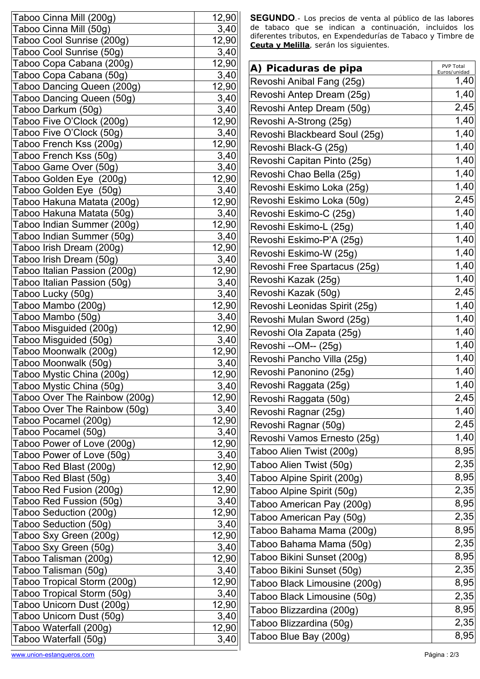| Taboo Cinna Mill (200g)       | 12,90        |
|-------------------------------|--------------|
| Taboo Cinna Mill (50g)        | 3,40         |
| Taboo Cool Sunrise (200g)     | 12,90        |
| Taboo Cool Sunrise (50g)      | 3,40         |
| Taboo Copa Cabana (200g)      | 12,90        |
| Taboo Copa Cabana (50g)       | 3,40         |
| Taboo Dancing Queen (200g)    | 12,90        |
| Taboo Dancing Queen (50g)     | 3,40         |
| Taboo Darkum (50g)            | 3,40         |
| Taboo Five O'Clock (200g)     | 12,90        |
| Taboo Five O'Clock (50g)      | 3,40         |
| Taboo French Kss (200g)       | 12,90        |
| Taboo French Kss (50g)        | 3,40         |
| Taboo Game Over (50g)         | 3,40         |
| Taboo Golden Eye (200g)       | 12,90        |
| Taboo Golden Eye (50g)        | 3,40         |
| Taboo Hakuna Matata (200g)    | 12,90        |
| Taboo Hakuna Matata (50g)     | 3,40         |
| Taboo Indian Summer (200g)    | 12,90        |
| Taboo Indian Summer (50g)     | 3,40         |
| Taboo Irish Dream (200g)      | 12,90        |
| Taboo Irish Dream (50g)       | 3,40         |
| Taboo Italian Passion (200g)  | 12,90        |
| Taboo Italian Passion (50g)   | 3,40         |
| Taboo Lucky (50g)             | 3,40         |
| Taboo Mambo (200g)            | 12,90        |
| Taboo Mambo (50g)             | 3,40         |
| Taboo Misguided (200g)        | 12,90        |
| Taboo Misguided (50g)         | 3,40         |
| Taboo Moonwalk (200g)         | 12,90        |
| Taboo Moonwalk (50g)          | 3,40         |
| Taboo Mystic China (200g)     | 12,90        |
| Taboo Mystic China (50g)      | 3,40         |
| Taboo Over The Rainbow (200g) | 12,90        |
| Taboo Over The Rainbow (50g)  | 3,40         |
| Taboo Pocamel (200g)          | 12,90        |
| Taboo Pocamel (50g)           | 3,40         |
| Taboo Power of Love (200g)    | 12,90        |
| Taboo Power of Love (50g)     | 3,40         |
| Taboo Red Blast (200g)        | 12,90        |
| Taboo Red Blast (50g)         | 3,40         |
| Taboo Red Fusion (200g)       | 12,90        |
| Taboo Red Fussion (50g)       | 3,40         |
| Taboo Seduction (200g)        | <u>12,90</u> |
| Taboo Seduction (50g)         | 3,40         |
| Taboo Sxy Green (200g)        | 12,90        |
| Taboo Sxy Green (50g)         | 3,40         |
| Taboo Talisman (200g)         | 12,90        |
| Taboo Talisman (50g)          | 3,40         |
| Taboo Tropical Storm (200g)   | 12,90        |
| Taboo Tropical Storm (50g)    | <u>3,40</u>  |
| Taboo Unicorn Dust (200g)     | 12,90        |
| Taboo Unicorn Dust (50g)      | 3,40         |
| Taboo Waterfall (200g)        | 12,90        |
| Taboo Waterfall (50g)         | 3,40         |
|                               |              |

**SEGUNDO**.- Los precios de venta al público de las labores de tabaco que se indican a continuación, incluidos los diferentes tributos, en Expendedurías de Tabaco y Timbre de *Ceuta y Melilla*, serán los siguientes.

| A) Picaduras de pipa          | PVP Total<br>Euros/unidad |
|-------------------------------|---------------------------|
| Revoshi Anibal Fang (25g)     | 1,40                      |
| Revoshi Antep Dream (25g)     | 1,40                      |
| Revoshi Antep Dream (50g)     | 2,45                      |
| Revoshi A-Strong (25g)        | 1,40                      |
| Revoshi Blackbeard Soul (25g) | 1,40                      |
| Revoshi Black-G (25g)         | 1,40                      |
| Revoshi Capitan Pinto (25g)   | 1,40                      |
| Revoshi Chao Bella (25g)      | 1,40                      |
| Revoshi Eskimo Loka (25g)     | 1,40                      |
| Revoshi Eskimo Loka (50g)     | 2,45                      |
| Revoshi Eskimo-C (25g)        | 1,40                      |
| Revoshi Eskimo-L (25g)        | $\overline{1,}40$         |
| Revoshi Eskimo-P'A (25g)      | 1,40                      |
| Revoshi Eskimo-W (25g)        | 1,40                      |
| Revoshi Free Spartacus (25g)  | 1,40                      |
| Revoshi Kazak (25g)           | 1,40                      |
| Revoshi Kazak (50g)           | 2,45                      |
| Revoshi Leonidas Spirit (25g) | 1,40                      |
| Revoshi Mulan Sword (25g)     | 1,40                      |
| Revoshi Ola Zapata (25g)      | 1,40                      |
| Revoshi --OM-- (25g)          | 1,40                      |
| Revoshi Pancho Villa (25g)    | 1,40                      |
| Revoshi Panonino (25g)        | 1,40                      |
| Revoshi Raggata (25g)         | 1,40                      |
| Revoshi Raggata (50g)         | 2,45                      |
| Revoshi Ragnar (25g)          | 1,40                      |
| Revoshi Ragnar (50g)          | 2,45                      |
| Revoshi Vamos Ernesto (25g)   | 1,40                      |
| Taboo Alien Twist (200g)      | 8,95                      |
| Taboo Alien Twist (50g)       | 2,35                      |
| Taboo Alpine Spirit (200g)    | 8,95                      |
| Taboo Alpine Spirit (50g)     | 2,35                      |
| Taboo American Pay (200g)     | 8,95                      |
| Taboo American Pay (50g)      | 2,35                      |
| Taboo Bahama Mama (200g)      | 8,95                      |
| Taboo Bahama Mama (50g)       | 2,35                      |
| Taboo Bikini Sunset (200g)    | 8,95                      |
| Taboo Bikini Sunset (50g)     | 2,35                      |
| Taboo Black Limousine (200g)  | 8,95                      |
| Taboo Black Limousine (50g)   | 2,35                      |
| Taboo Blizzardina (200g)      | 8,95                      |
| Taboo Blizzardina (50g)       | 2,35                      |
| Taboo Blue Bay (200g)         | 8,95                      |